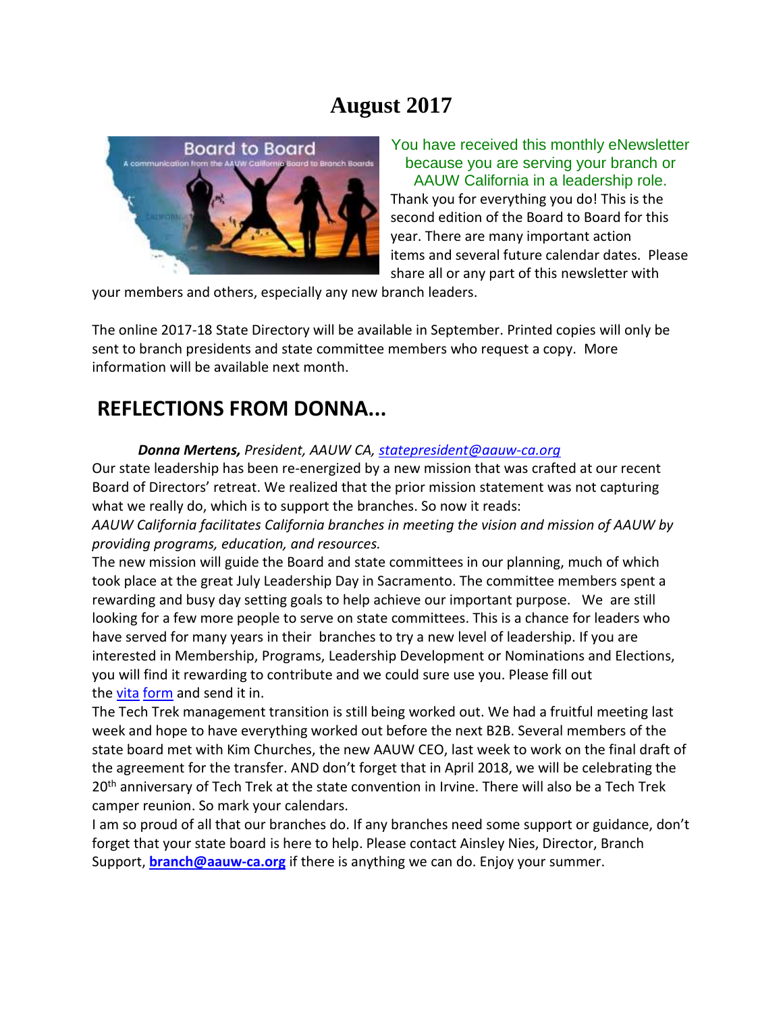## **August 2017**



You have received this monthly eNewsletter because you are serving your branch or AAUW California in a leadership role. Thank you for everything you do! This is the second edition of the Board to Board for this year. There are many important action items and several future calendar dates. Please share all or any part of this newsletter with

your members and others, especially any new branch leaders.

The online 2017-18 State Directory will be available in September. Printed copies will only be sent to branch presidents and state committee members who request a copy. More information will be available next month.

### **REFLECTIONS FROM DONNA...**

*Donna Mertens, President, AAUW CA, [statepresident@aauw-ca.org](mailto:statepresident@aauw-ca.org)*

Our state leadership has been re-energized by a new mission that was crafted at our recent Board of Directors' retreat. We realized that the prior mission statement was not capturing what we really do, which is to support the branches. So now it reads:

*AAUW California facilitates California branches in meeting the vision and mission of AAUW by providing programs, education, and resources.*

The new mission will guide the Board and state committees in our planning, much of which took place at the great July Leadership Day in Sacramento. The committee members spent a rewarding and busy day setting goals to help achieve our important purpose. We are still looking for a few more people to serve on state committees. This is a chance for leaders who have served for many years in their branches to try a new level of leadership. If you are interested in Membership, Programs, Leadership Development or Nominations and Elections, you will find it rewarding to contribute and we could sure use you. Please fill out the [vita](https://bor.aauw-ca.org/sendy/l/i892jlei0vHU763mzfduFMI892BQ/AyNgZCaP5oTX3WsRXQOR763A/qnfGti1oZz7z5lJVxFZuhA) [form](https://bor.aauw-ca.org/sendy/l/i892jlei0vHU763mzfduFMI892BQ/AyNgZCaP5oTX3WsRXQOR763A/qnfGti1oZz7z5lJVxFZuhA) and send it in.

The Tech Trek management transition is still being worked out. We had a fruitful meeting last week and hope to have everything worked out before the next B2B. Several members of the state board met with Kim Churches, the new AAUW CEO, last week to work on the final draft of the agreement for the transfer. AND don't forget that in April 2018, we will be celebrating the 20<sup>th</sup> anniversary of Tech Trek at the state convention in Irvine. There will also be a Tech Trek camper reunion. So mark your calendars.

I am so proud of all that our branches do. If any branches need some support or guidance, don't forget that your state board is here to help. Please contact Ainsley Nies, Director, Branch Support, **[branch@aauw-ca.org](mailto:branch@aauw-ca.org)** if there is anything we can do. Enjoy your summer.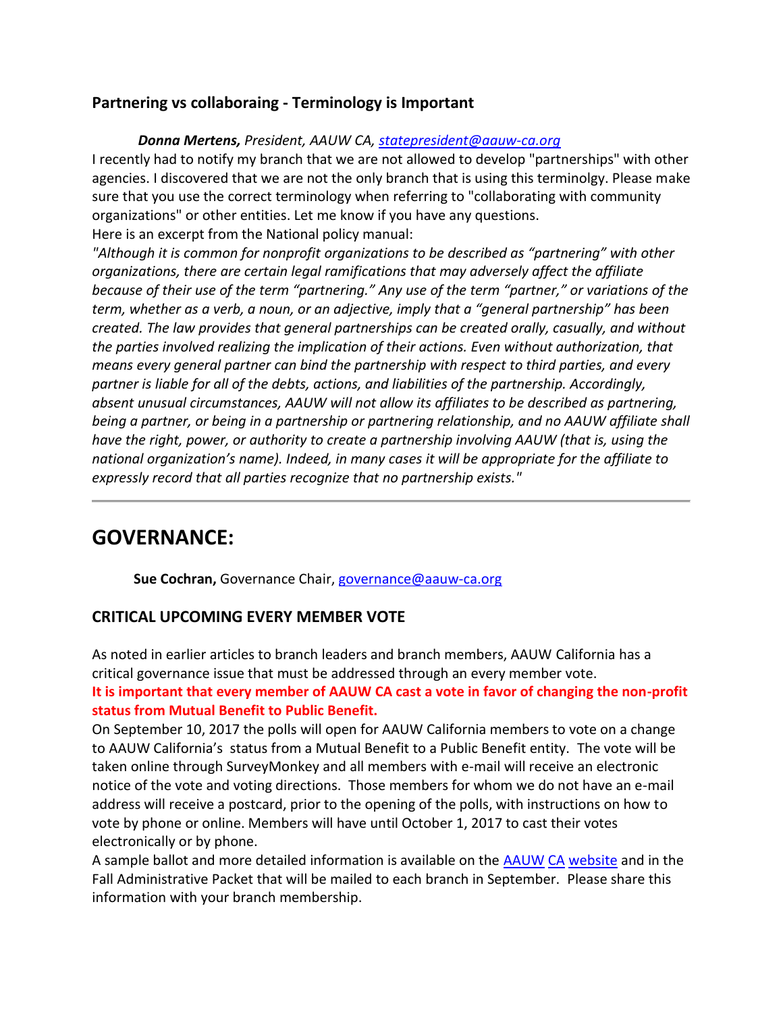#### **Partnering vs collaboraing - Terminology is Important**

#### *Donna Mertens, President, AAUW CA, [statepresident@aauw-ca.org](mailto:statepresident@aauw-ca.org)*

I recently had to notify my branch that we are not allowed to develop "partnerships" with other agencies. I discovered that we are not the only branch that is using this terminolgy. Please make sure that you use the correct terminology when referring to "collaborating with community organizations" or other entities. Let me know if you have any questions. Here is an excerpt from the National policy manual:

*"Although it is common for nonprofit organizations to be described as "partnering" with other organizations, there are certain legal ramifications that may adversely affect the affiliate because of their use of the term "partnering." Any use of the term "partner," or variations of the term, whether as a verb, a noun, or an adjective, imply that a "general partnership" has been created. The law provides that general partnerships can be created orally, casually, and without the parties involved realizing the implication of their actions. Even without authorization, that means every general partner can bind the partnership with respect to third parties, and every partner is liable for all of the debts, actions, and liabilities of the partnership. Accordingly, absent unusual circumstances, AAUW will not allow its affiliates to be described as partnering, being a partner, or being in a partnership or partnering relationship, and no AAUW affiliate shall have the right, power, or authority to create a partnership involving AAUW (that is, using the national organization's name). Indeed, in many cases it will be appropriate for the affiliate to expressly record that all parties recognize that no partnership exists."*

### **GOVERNANCE:**

**Sue Cochran,** Governance Chair, [governance@aauw-ca.org](mailto:governance@aauw-ca.org)

#### **CRITICAL UPCOMING EVERY MEMBER VOTE**

As noted in earlier articles to branch leaders and branch members, AAUW California has a critical governance issue that must be addressed through an every member vote.

#### **It is important that every member of AAUW CA cast a vote in favor of changing the non-profit status from Mutual Benefit to Public Benefit.**

On September 10, 2017 the polls will open for AAUW California members to vote on a change to AAUW California's status from a Mutual Benefit to a Public Benefit entity. The vote will be taken online through SurveyMonkey and all members with e-mail will receive an electronic notice of the vote and voting directions. Those members for whom we do not have an e-mail address will receive a postcard, prior to the opening of the polls, with instructions on how to vote by phone or online. Members will have until October 1, 2017 to cast their votes electronically or by phone.

A sample ballot and more detailed information is available on the [AAUW](https://bor.aauw-ca.org/sendy/l/i892jlei0vHU763mzfduFMI892BQ/Yac6XtNpuWZJHa8B2Eb0Ow/qnfGti1oZz7z5lJVxFZuhA) [CA](https://bor.aauw-ca.org/sendy/l/i892jlei0vHU763mzfduFMI892BQ/Yac6XtNpuWZJHa8B2Eb0Ow/qnfGti1oZz7z5lJVxFZuhA) [website](https://bor.aauw-ca.org/sendy/l/i892jlei0vHU763mzfduFMI892BQ/Yac6XtNpuWZJHa8B2Eb0Ow/qnfGti1oZz7z5lJVxFZuhA) and in the Fall Administrative Packet that will be mailed to each branch in September. Please share this information with your branch membership.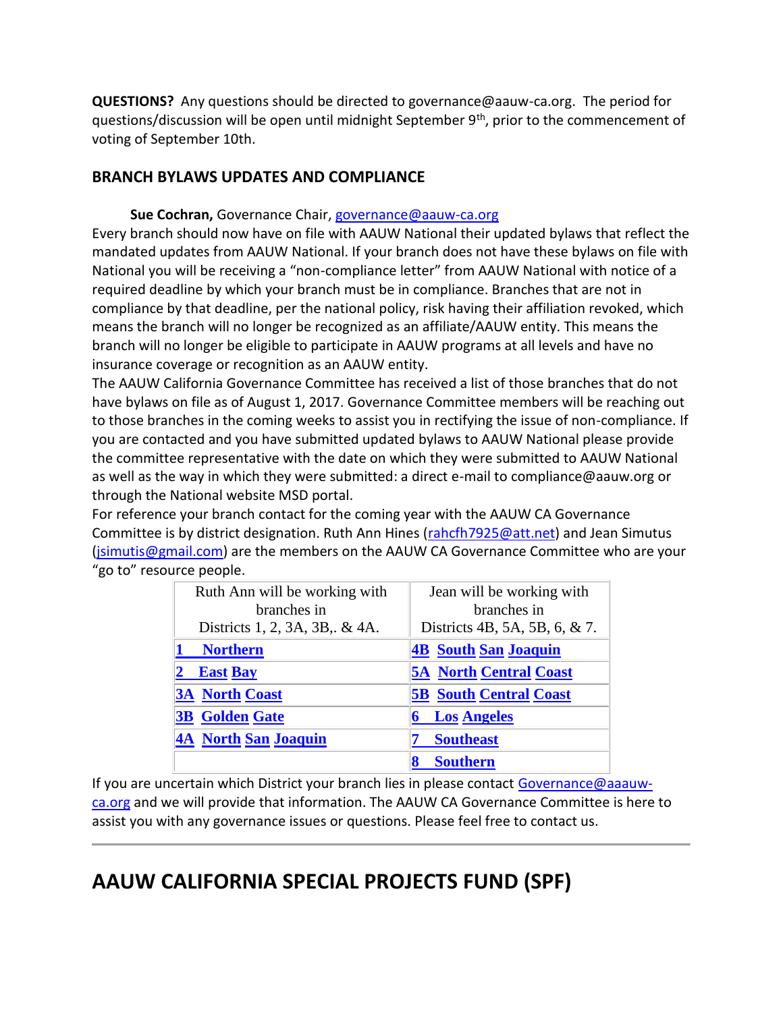**QUESTIONS?** Any questions should be directed to governance@aauw-ca.org. The period for questions/discussion will be open until midnight September 9<sup>th</sup>, prior to the commencement of voting of September 10th.

#### **BRANCH BYLAWS UPDATES AND COMPLIANCE**

#### **Sue Cochran,** Governance Chair, [governance@aauw-ca.org](mailto:governance@aauw-ca.org)

Every branch should now have on file with AAUW National their updated bylaws that reflect the mandated updates from AAUW National. If your branch does not have these bylaws on file with National you will be receiving a "non-compliance letter" from AAUW National with notice of a required deadline by which your branch must be in compliance. Branches that are not in compliance by that deadline, per the national policy, risk having their affiliation revoked, which means the branch will no longer be recognized as an affiliate/AAUW entity. This means the branch will no longer be eligible to participate in AAUW programs at all levels and have no insurance coverage or recognition as an AAUW entity.

The AAUW California Governance Committee has received a list of those branches that do not have bylaws on file as of August 1, 2017. Governance Committee members will be reaching out to those branches in the coming weeks to assist you in rectifying the issue of non-compliance. If you are contacted and you have submitted updated bylaws to AAUW National please provide the committee representative with the date on which they were submitted to AAUW National as well as the way in which they were submitted: a direct e-mail to compliance@aauw.org or through the National website MSD portal.

For reference your branch contact for the coming year with the AAUW CA Governance Committee is by district designation. Ruth Ann Hines [\(rahcfh7925@att.net\)](mailto:rahcfh7925@att.net) and Jean Simutus [\(jsimutis@gmail.com\)](mailto:jsimutis@gmail.com) are the members on the AAUW CA Governance Committee who are your "go to" resource people.

| Ruth Ann will be working with | Jean will be working with     |
|-------------------------------|-------------------------------|
| branches in                   | branches in                   |
| Districts 1, 2, 3A, 3B, & 4A. | Districts 4B, 5A, 5B, 6, & 7. |
| <b>Northern</b>               | <b>4B</b> South San Joaquin   |
| <b>East Bay</b>               | <b>5A North Central Coast</b> |
| <b>3A North Coast</b>         | <b>5B South Central Coast</b> |
| <b>3B</b> Golden Gate         | <b>Los Angeles</b>            |
| <b>4A North San Joaquin</b>   | <b>Southeast</b>              |
|                               | <b>Southern</b>               |

If you are uncertain which District your branch lies in please contact [Governance@aaauw](mailto:Governance@aaauw-ca.org)[ca.org](mailto:Governance@aaauw-ca.org) and we will provide that information. The AAUW CA Governance Committee is here to assist you with any governance issues or questions. Please feel free to contact us.

## **AAUW CALIFORNIA SPECIAL PROJECTS FUND (SPF)**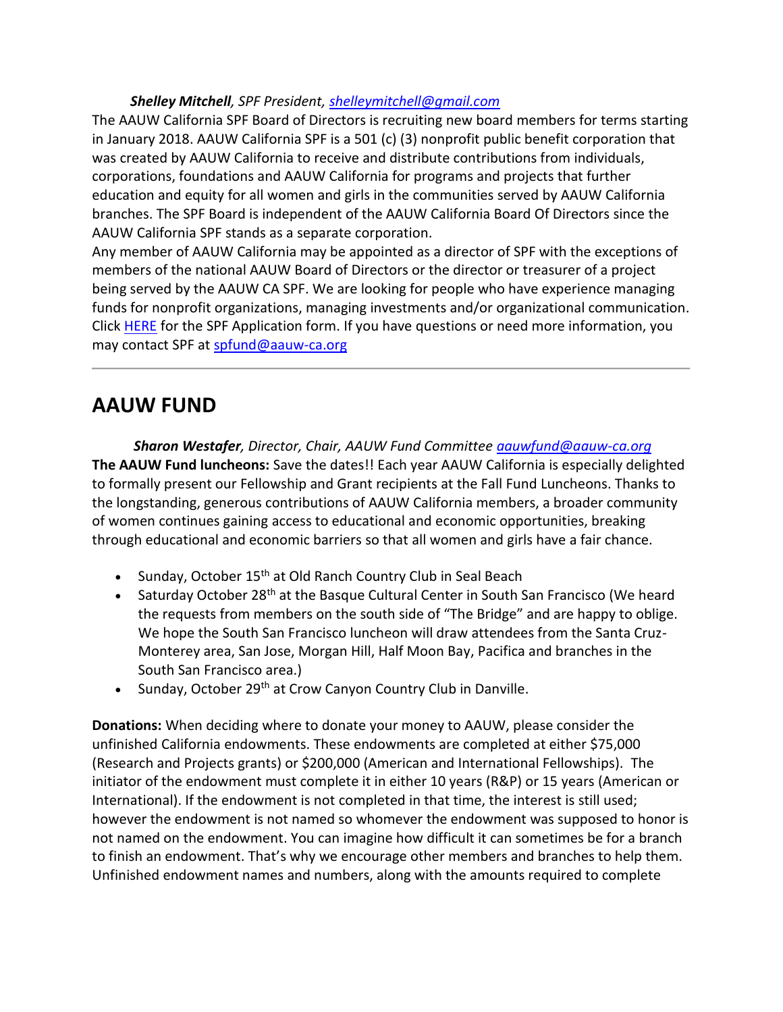#### *Shelley Mitchell, SPF President, [shelleymitchell@gmail.com](mailto:shelleymitchell@gmail.com)*

The AAUW California SPF Board of Directors is recruiting new board members for terms starting in January 2018. AAUW California SPF is a 501 (c) (3) nonprofit public benefit corporation that was created by AAUW California to receive and distribute contributions from individuals, corporations, foundations and AAUW California for programs and projects that further education and equity for all women and girls in the communities served by AAUW California branches. The SPF Board is independent of the AAUW California Board Of Directors since the AAUW California SPF stands as a separate corporation.

Any member of AAUW California may be appointed as a director of SPF with the exceptions of members of the national AAUW Board of Directors or the director or treasurer of a project being served by the AAUW CA SPF. We are looking for people who have experience managing funds for nonprofit organizations, managing investments and/or organizational communication. Click [HERE](https://bor.aauw-ca.org/sendy/l/i892jlei0vHU763mzfduFMI892BQ/0kmlG892GZXHDwiiSphaCVTA/qnfGti1oZz7z5lJVxFZuhA) for the SPF Application form. If you have questions or need more information, you may contact SPF at [spfund@aauw-ca.org](mailto:spfund@aauw-ca.org)

## **AAUW FUND**

*Sharon Westafer, Director, Chair, AAUW Fund Committee [aauwfund@aauw-ca.org](mailto:aauwfund@aauw-ca.org)* **The AAUW Fund luncheons:** Save the dates!! Each year AAUW California is especially delighted to formally present our Fellowship and Grant recipients at the Fall Fund Luncheons. Thanks to the longstanding, generous contributions of AAUW California members, a broader community of women continues gaining access to educational and economic opportunities, breaking through educational and economic barriers so that all women and girls have a fair chance.

- Sunday, October 15<sup>th</sup> at Old Ranch Country Club in Seal Beach
- Saturday October 28<sup>th</sup> at the Basque Cultural Center in South San Francisco (We heard the requests from members on the south side of "The Bridge" and are happy to oblige. We hope the South San Francisco luncheon will draw attendees from the Santa Cruz-Monterey area, San Jose, Morgan Hill, Half Moon Bay, Pacifica and branches in the South San Francisco area.)
- Sunday, October 29<sup>th</sup> at Crow Canyon Country Club in Danville.

**Donations:** When deciding where to donate your money to AAUW, please consider the unfinished California endowments. These endowments are completed at either \$75,000 (Research and Projects grants) or \$200,000 (American and International Fellowships). The initiator of the endowment must complete it in either 10 years (R&P) or 15 years (American or International). If the endowment is not completed in that time, the interest is still used; however the endowment is not named so whomever the endowment was supposed to honor is not named on the endowment. You can imagine how difficult it can sometimes be for a branch to finish an endowment. That's why we encourage other members and branches to help them. Unfinished endowment names and numbers, along with the amounts required to complete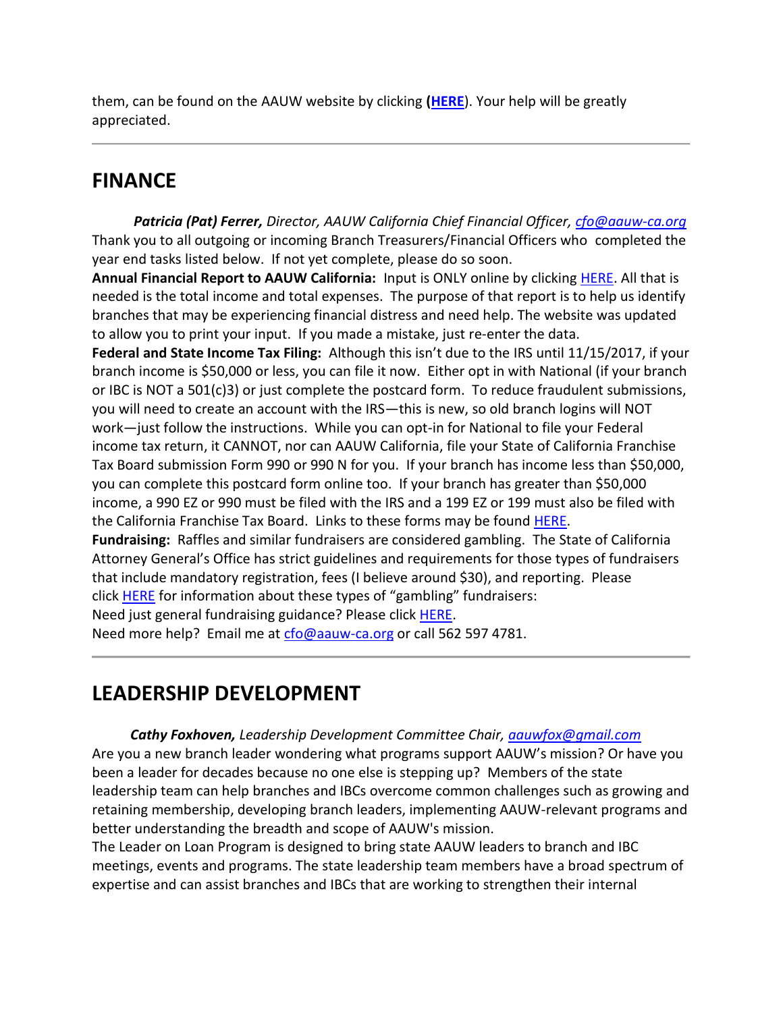them, can be found on the AAUW website by clicking **[\(HERE](https://bor.aauw-ca.org/sendy/l/i892jlei0vHU763mzfduFMI892BQ/MvxqDh0vZEilNCJeoJtPtA/qnfGti1oZz7z5lJVxFZuhA)**). Your help will be greatly appreciated.

## **FINANCE**

 *Patricia (Pat) Ferrer, Director, AAUW California Chief Financial Officer, [cfo@aauw-ca.org](mailto:cfo@aauw-ca.org)* Thank you to all outgoing or incoming Branch Treasurers/Financial Officers who completed the year end tasks listed below. If not yet complete, please do so soon.

**Annual Financial Report to AAUW California:** Input is ONLY online by clicking [HERE.](https://bor.aauw-ca.org/sendy/l/i892jlei0vHU763mzfduFMI892BQ/jVGUpaNlXo763jGrwWOSpLsA/qnfGti1oZz7z5lJVxFZuhA) All that is needed is the total income and total expenses. The purpose of that report is to help us identify branches that may be experiencing financial distress and need help. The website was updated to allow you to print your input. If you made a mistake, just re-enter the data.

**Federal and State Income Tax Filing:** Although this isn't due to the IRS until 11/15/2017, if your branch income is \$50,000 or less, you can file it now. Either opt in with National (if your branch or IBC is NOT a 501(c)3) or just complete the postcard form. To reduce fraudulent submissions, you will need to create an account with the IRS—this is new, so old branch logins will NOT work—just follow the instructions. While you can opt-in for National to file your Federal income tax return, it CANNOT, nor can AAUW California, file your State of California Franchise Tax Board submission Form 990 or 990 N for you. If your branch has income less than \$50,000, you can complete this postcard form online too. If your branch has greater than \$50,000 income, a 990 EZ or 990 must be filed with the IRS and a 199 EZ or 199 must also be filed with the California Franchise Tax Board. Links to these forms may be found [HERE.](https://bor.aauw-ca.org/sendy/l/i892jlei0vHU763mzfduFMI892BQ/zfS0ZX2V0gdaV3K5Hty3ew/qnfGti1oZz7z5lJVxFZuhA)

**Fundraising:** Raffles and similar fundraisers are considered gambling. The State of California Attorney General's Office has strict guidelines and requirements for those types of fundraisers that include mandatory registration, fees (I believe around \$30), and reporting. Please click **[HERE](https://bor.aauw-ca.org/sendy/l/i892jlei0vHU763mzfduFMI892BQ/YEVXqDK5tyHyzanOigaYPQ/qnfGti1oZz7z5lJVxFZuhA)** for information about these types of "gambling" fundraisers:

Need just general fundraising guidance? Please click [HERE.](https://bor.aauw-ca.org/sendy/l/i892jlei0vHU763mzfduFMI892BQ/wVU892892Xu9PNq3IbigHQrC7A/qnfGti1oZz7z5lJVxFZuhA)

Need more help? Email me at [cfo@aauw-ca.org](mailto:cfo@aauw-ca.org) or call 562 597 4781.

## **LEADERSHIP DEVELOPMENT**

*Cathy Foxhoven, Leadership Development Committee Chair, [aauwfox@gmail.com](mailto:aauwfox@gmail.com)* Are you a new branch leader wondering what programs support AAUW's mission? Or have you been a leader for decades because no one else is stepping up? Members of the state leadership team can help branches and IBCs overcome common challenges such as growing and retaining membership, developing branch leaders, implementing AAUW-relevant programs and better understanding the breadth and scope of AAUW's mission.

The Leader on Loan Program is designed to bring state AAUW leaders to branch and IBC meetings, events and programs. The state leadership team members have a broad spectrum of expertise and can assist branches and IBCs that are working to strengthen their internal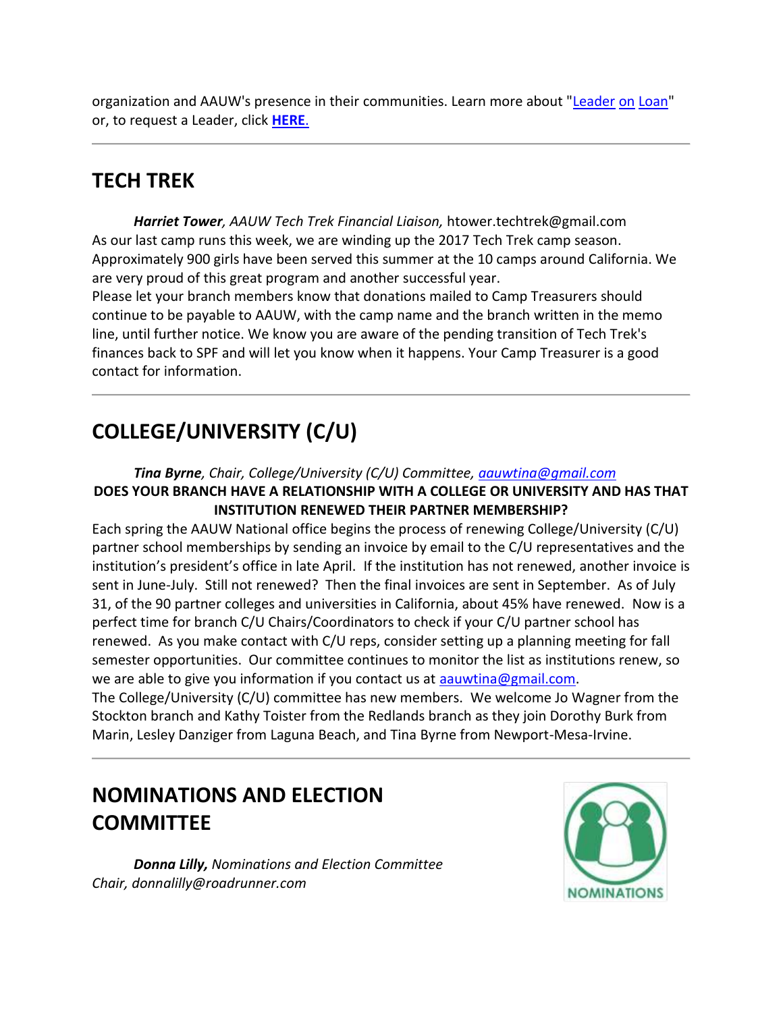organization and AAUW's presence in their communities. Learn more about ["Leader](https://bor.aauw-ca.org/sendy/l/i892jlei0vHU763mzfduFMI892BQ/IfPKLA8v8uLsVp5NvTFO9w/qnfGti1oZz7z5lJVxFZuhA) [on](https://bor.aauw-ca.org/sendy/l/i892jlei0vHU763mzfduFMI892BQ/IfPKLA8v8uLsVp5NvTFO9w/qnfGti1oZz7z5lJVxFZuhA) [Loan"](https://bor.aauw-ca.org/sendy/l/i892jlei0vHU763mzfduFMI892BQ/IfPKLA8v8uLsVp5NvTFO9w/qnfGti1oZz7z5lJVxFZuhA) or, to request a Leader, click **[HERE](https://bor.aauw-ca.org/sendy/l/i892jlei0vHU763mzfduFMI892BQ/nzKYEXyANh892fX0l3idhr1g/qnfGti1oZz7z5lJVxFZuhA)**[.](https://bor.aauw-ca.org/sendy/l/i892jlei0vHU763mzfduFMI892BQ/nzKYEXyANh892fX0l3idhr1g/qnfGti1oZz7z5lJVxFZuhA)

## **TECH TREK**

*Harriet Tower, AAUW Tech Trek Financial Liaison,* htower.techtrek@gmail.com As our last camp runs this week, we are winding up the 2017 Tech Trek camp season. Approximately 900 girls have been served this summer at the 10 camps around California. We are very proud of this great program and another successful year.

Please let your branch members know that donations mailed to Camp Treasurers should continue to be payable to AAUW, with the camp name and the branch written in the memo line, until further notice. We know you are aware of the pending transition of Tech Trek's finances back to SPF and will let you know when it happens. Your Camp Treasurer is a good contact for information.

# **COLLEGE/UNIVERSITY (C/U)**

#### *Tina Byrne, Chair, College/University (C/U) Committee, [aauwtina@gmail.com](mailto:aauwtina@gmail.com)* **DOES YOUR BRANCH HAVE A RELATIONSHIP WITH A COLLEGE OR UNIVERSITY AND HAS THAT INSTITUTION RENEWED THEIR PARTNER MEMBERSHIP?**

Each spring the AAUW National office begins the process of renewing College/University (C/U) partner school memberships by sending an invoice by email to the C/U representatives and the institution's president's office in late April. If the institution has not renewed, another invoice is sent in June-July. Still not renewed? Then the final invoices are sent in September. As of July 31, of the 90 partner colleges and universities in California, about 45% have renewed. Now is a perfect time for branch C/U Chairs/Coordinators to check if your C/U partner school has renewed. As you make contact with C/U reps, consider setting up a planning meeting for fall semester opportunities. Our committee continues to monitor the list as institutions renew, so we are able to give you information if you contact us at [aauwtina@gmail.com.](mailto:aauwtina@gmail.com)

The College/University (C/U) committee has new members. We welcome Jo Wagner from the Stockton branch and Kathy Toister from the Redlands branch as they join Dorothy Burk from Marin, Lesley Danziger from Laguna Beach, and Tina Byrne from Newport-Mesa-Irvine.

# **NOMINATIONS AND ELECTION COMMITTEE**

 *Donna Lilly, Nominations and Election Committee Chair, donnalilly@roadrunner.com*

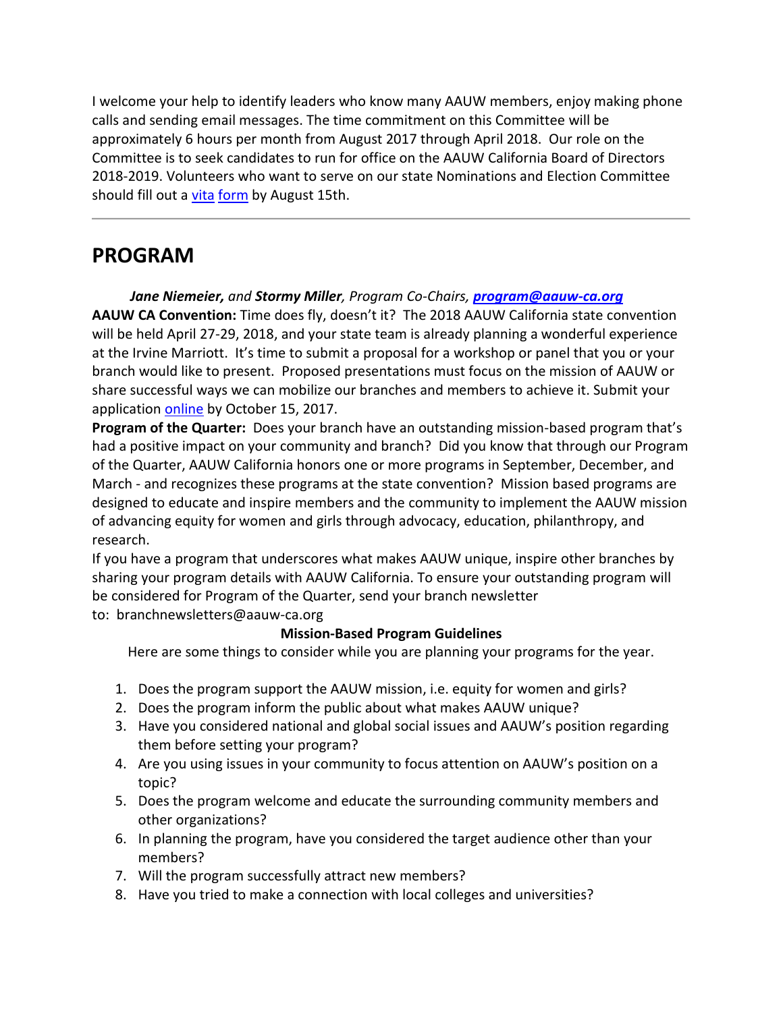I welcome your help to identify leaders who know many AAUW members, enjoy making phone calls and sending email messages. The time commitment on this Committee will be approximately 6 hours per month from August 2017 through April 2018. Our role on the Committee is to seek candidates to run for office on the AAUW California Board of Directors 2018-2019. Volunteers who want to serve on our state Nominations and Election Committee should fill out a *[vita](https://bor.aauw-ca.org/sendy/l/i892jlei0vHU763mzfduFMI892BQ/AyNgZCaP5oTX3WsRXQOR763A/qnfGti1oZz7z5lJVxFZuhA) [form](https://bor.aauw-ca.org/sendy/l/i892jlei0vHU763mzfduFMI892BQ/AyNgZCaP5oTX3WsRXQOR763A/qnfGti1oZz7z5lJVxFZuhA)* by August 15th.

### **PROGRAM**

*Jane Niemeier, and Stormy Miller, Program Co-Chairs, [program@aauw-ca.org](mailto:program@aauw-ca.org)* **AAUW CA Convention:** Time does fly, doesn't it? The 2018 AAUW California state convention will be held April 27-29, 2018, and your state team is already planning a wonderful experience at the Irvine Marriott. It's time to submit a proposal for a workshop or panel that you or your branch would like to present. Proposed presentations must focus on the mission of AAUW or share successful ways we can mobilize our branches and members to achieve it. Submit your application [online](https://bor.aauw-ca.org/sendy/l/i892jlei0vHU763mzfduFMI892BQ/9lNo5rFbGeA3ftl6wr6zrw/qnfGti1oZz7z5lJVxFZuhA) by October 15, 2017.

**Program of the Quarter:** Does your branch have an outstanding mission-based program that's had a positive impact on your community and branch? Did you know that through our Program of the Quarter, AAUW California honors one or more programs in September, December, and March - and recognizes these programs at the state convention? Mission based programs are designed to educate and inspire members and the community to implement the AAUW mission of advancing equity for women and girls through advocacy, education, philanthropy, and research.

If you have a program that underscores what makes AAUW unique, inspire other branches by sharing your program details with AAUW California. To ensure your outstanding program will be considered for Program of the Quarter, send your branch newsletter

to: branchnewsletters@aauw-ca.org

#### **Mission-Based Program Guidelines**

Here are some things to consider while you are planning your programs for the year.

- 1. Does the program support the AAUW mission, i.e. equity for women and girls?
- 2. Does the program inform the public about what makes AAUW unique?
- 3. Have you considered national and global social issues and AAUW's position regarding them before setting your program?
- 4. Are you using issues in your community to focus attention on AAUW's position on a topic?
- 5. Does the program welcome and educate the surrounding community members and other organizations?
- 6. In planning the program, have you considered the target audience other than your members?
- 7. Will the program successfully attract new members?
- 8. Have you tried to make a connection with local colleges and universities?